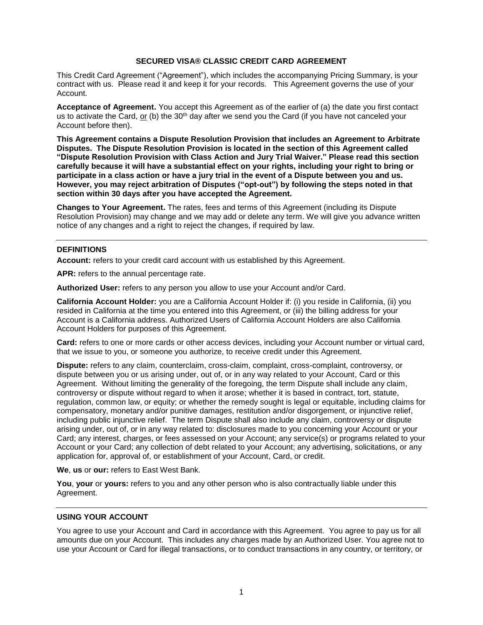## **SECURED VISA® CLASSIC CREDIT CARD AGREEMENT**

This Credit Card Agreement ("Agreement"), which includes the accompanying Pricing Summary, is your contract with us. Please read it and keep it for your records. This Agreement governs the use of your Account.

**Acceptance of Agreement.** You accept this Agreement as of the earlier of (a) the date you first contact us to activate the Card, or (b) the 30<sup>th</sup> day after we send you the Card (if you have not canceled your Account before then).

**This Agreement contains a Dispute Resolution Provision that includes an Agreement to Arbitrate Disputes. The Dispute Resolution Provision is located in the section of this Agreement called "Dispute Resolution Provision with Class Action and Jury Trial Waiver." Please read this section carefully because it will have a substantial effect on your rights, including your right to bring or participate in a class action or have a jury trial in the event of a Dispute between you and us. However, you may reject arbitration of Disputes ("opt-out") by following the steps noted in that section within 30 days after you have accepted the Agreement.**

**Changes to Your Agreement.** The rates, fees and terms of this Agreement (including its Dispute Resolution Provision) may change and we may add or delete any term. We will give you advance written notice of any changes and a right to reject the changes, if required by law.

## **DEFINITIONS**

**Account:** refers to your credit card account with us established by this Agreement.

**APR:** refers to the annual percentage rate.

**Authorized User:** refers to any person you allow to use your Account and/or Card.

**California Account Holder:** you are a California Account Holder if: (i) you reside in California, (ii) you resided in California at the time you entered into this Agreement, or (iii) the billing address for your Account is a California address. Authorized Users of California Account Holders are also California Account Holders for purposes of this Agreement.

**Card:** refers to one or more cards or other access devices, including your Account number or virtual card, that we issue to you, or someone you authorize, to receive credit under this Agreement.

**Dispute:** refers to any claim, counterclaim, cross-claim, complaint, cross-complaint, controversy, or dispute between you or us arising under, out of, or in any way related to your Account, Card or this Agreement. Without limiting the generality of the foregoing, the term Dispute shall include any claim, controversy or dispute without regard to when it arose; whether it is based in contract, tort, statute, regulation, common law, or equity; or whether the remedy sought is legal or equitable, including claims for compensatory, monetary and/or punitive damages, restitution and/or disgorgement, or injunctive relief, including public injunctive relief. The term Dispute shall also include any claim, controversy or dispute arising under, out of, or in any way related to: disclosures made to you concerning your Account or your Card; any interest, charges, or fees assessed on your Account; any service(s) or programs related to your Account or your Card; any collection of debt related to your Account; any advertising, solicitations, or any application for, approval of, or establishment of your Account, Card, or credit.

**We**, **us** or **our:** refers to East West Bank.

**You**, **your** or **yours:** refers to you and any other person who is also contractually liable under this Agreement.

#### **USING YOUR ACCOUNT**

You agree to use your Account and Card in accordance with this Agreement. You agree to pay us for all amounts due on your Account. This includes any charges made by an Authorized User. You agree not to use your Account or Card for illegal transactions, or to conduct transactions in any country, or territory, or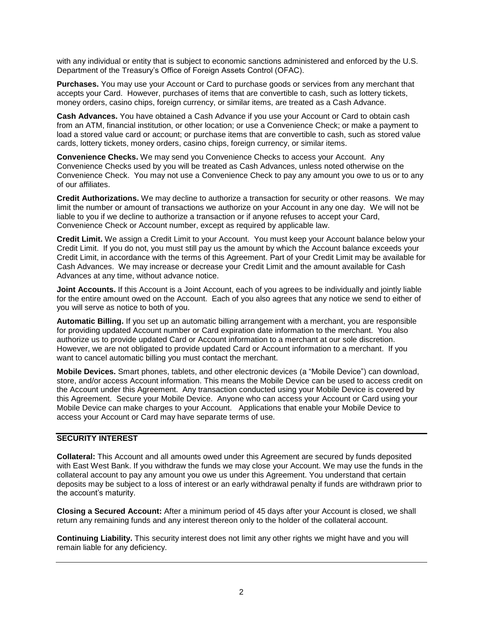with any individual or entity that is subject to economic sanctions administered and enforced by the U.S. Department of the Treasury's Office of Foreign Assets Control (OFAC).

**Purchases.** You may use your Account or Card to purchase goods or services from any merchant that accepts your Card. However, purchases of items that are convertible to cash, such as lottery tickets, money orders, casino chips, foreign currency, or similar items, are treated as a Cash Advance.

**Cash Advances.** You have obtained a Cash Advance if you use your Account or Card to obtain cash from an ATM, financial institution, or other location; or use a Convenience Check; or make a payment to load a stored value card or account; or purchase items that are convertible to cash, such as stored value cards, lottery tickets, money orders, casino chips, foreign currency, or similar items.

**Convenience Checks.** We may send you Convenience Checks to access your Account. Any Convenience Checks used by you will be treated as Cash Advances, unless noted otherwise on the Convenience Check. You may not use a Convenience Check to pay any amount you owe to us or to any of our affiliates.

**Credit Authorizations.** We may decline to authorize a transaction for security or other reasons. We may limit the number or amount of transactions we authorize on your Account in any one day. We will not be liable to you if we decline to authorize a transaction or if anyone refuses to accept your Card, Convenience Check or Account number, except as required by applicable law.

**Credit Limit.** We assign a Credit Limit to your Account. You must keep your Account balance below your Credit Limit. If you do not, you must still pay us the amount by which the Account balance exceeds your Credit Limit, in accordance with the terms of this Agreement. Part of your Credit Limit may be available for Cash Advances. We may increase or decrease your Credit Limit and the amount available for Cash Advances at any time, without advance notice.

**Joint Accounts.** If this Account is a Joint Account, each of you agrees to be individually and jointly liable for the entire amount owed on the Account. Each of you also agrees that any notice we send to either of you will serve as notice to both of you.

**Automatic Billing.** If you set up an automatic billing arrangement with a merchant, you are responsible for providing updated Account number or Card expiration date information to the merchant. You also authorize us to provide updated Card or Account information to a merchant at our sole discretion. However, we are not obligated to provide updated Card or Account information to a merchant. If you want to cancel automatic billing you must contact the merchant.

**Mobile Devices.** Smart phones, tablets, and other electronic devices (a "Mobile Device") can download, store, and/or access Account information. This means the Mobile Device can be used to access credit on the Account under this Agreement. Any transaction conducted using your Mobile Device is covered by this Agreement. Secure your Mobile Device. Anyone who can access your Account or Card using your Mobile Device can make charges to your Account. Applications that enable your Mobile Device to access your Account or Card may have separate terms of use.

## **SECURITY INTEREST**

**Collateral:** This Account and all amounts owed under this Agreement are secured by funds deposited with East West Bank. If you withdraw the funds we may close your Account. We may use the funds in the collateral account to pay any amount you owe us under this Agreement. You understand that certain deposits may be subject to a loss of interest or an early withdrawal penalty if funds are withdrawn prior to the account's maturity.

**Closing a Secured Account:** After a minimum period of 45 days after your Account is closed, we shall return any remaining funds and any interest thereon only to the holder of the collateral account.

**Continuing Liability.** This security interest does not limit any other rights we might have and you will remain liable for any deficiency.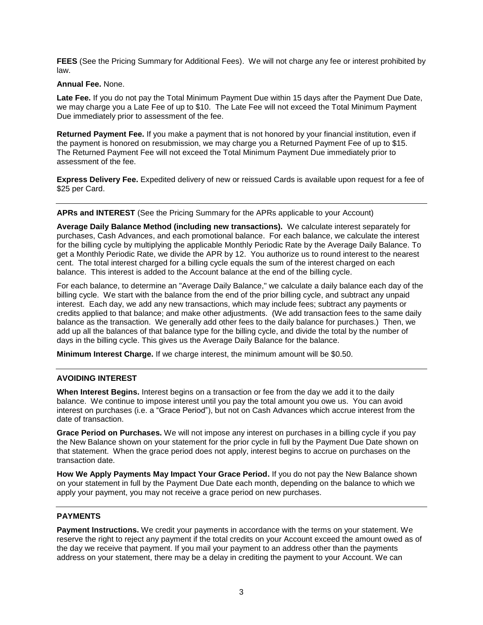**FEES** (See the Pricing Summary for Additional Fees). We will not charge any fee or interest prohibited by law.

#### **Annual Fee.** None.

**Late Fee.** If you do not pay the Total Minimum Payment Due within 15 days after the Payment Due Date, we may charge you a Late Fee of up to \$10. The Late Fee will not exceed the Total Minimum Payment Due immediately prior to assessment of the fee.

**Returned Payment Fee.** If you make a payment that is not honored by your financial institution, even if the payment is honored on resubmission, we may charge you a Returned Payment Fee of up to \$15. The Returned Payment Fee will not exceed the Total Minimum Payment Due immediately prior to assessment of the fee.

**Express Delivery Fee.** Expedited delivery of new or reissued Cards is available upon request for a fee of \$25 per Card.

## **APRs and INTEREST** (See the Pricing Summary for the APRs applicable to your Account)

**Average Daily Balance Method (including new transactions).** We calculate interest separately for purchases, Cash Advances, and each promotional balance. For each balance, we calculate the interest for the billing cycle by multiplying the applicable Monthly Periodic Rate by the Average Daily Balance. To get a Monthly Periodic Rate, we divide the APR by 12. You authorize us to round interest to the nearest cent. The total interest charged for a billing cycle equals the sum of the interest charged on each balance. This interest is added to the Account balance at the end of the billing cycle.

For each balance, to determine an "Average Daily Balance," we calculate a daily balance each day of the billing cycle. We start with the balance from the end of the prior billing cycle, and subtract any unpaid interest. Each day, we add any new transactions, which may include fees; subtract any payments or credits applied to that balance; and make other adjustments. (We add transaction fees to the same daily balance as the transaction. We generally add other fees to the daily balance for purchases.) Then, we add up all the balances of that balance type for the billing cycle, and divide the total by the number of days in the billing cycle. This gives us the Average Daily Balance for the balance.

**Minimum Interest Charge.** If we charge interest, the minimum amount will be \$0.50.

# **AVOIDING INTEREST**

**When Interest Begins.** Interest begins on a transaction or fee from the day we add it to the daily balance. We continue to impose interest until you pay the total amount you owe us. You can avoid interest on purchases (i.e. a "Grace Period"), but not on Cash Advances which accrue interest from the date of transaction.

**Grace Period on Purchases.** We will not impose any interest on purchases in a billing cycle if you pay the New Balance shown on your statement for the prior cycle in full by the Payment Due Date shown on that statement. When the grace period does not apply, interest begins to accrue on purchases on the transaction date.

**How We Apply Payments May Impact Your Grace Period.** If you do not pay the New Balance shown on your statement in full by the Payment Due Date each month, depending on the balance to which we apply your payment, you may not receive a grace period on new purchases.

# **PAYMENTS**

**Payment Instructions.** We credit your payments in accordance with the terms on your statement. We reserve the right to reject any payment if the total credits on your Account exceed the amount owed as of the day we receive that payment. If you mail your payment to an address other than the payments address on your statement, there may be a delay in crediting the payment to your Account. We can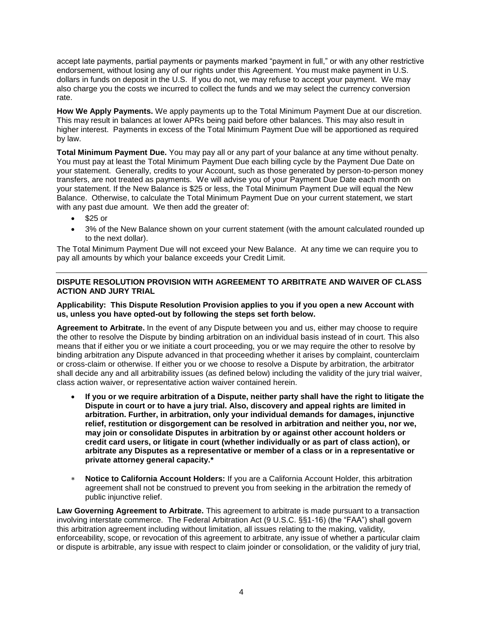accept late payments, partial payments or payments marked "payment in full," or with any other restrictive endorsement, without losing any of our rights under this Agreement. You must make payment in U.S. dollars in funds on deposit in the U.S. If you do not, we may refuse to accept your payment. We may also charge you the costs we incurred to collect the funds and we may select the currency conversion rate.

**How We Apply Payments.** We apply payments up to the Total Minimum Payment Due at our discretion. This may result in balances at lower APRs being paid before other balances. This may also result in higher interest. Payments in excess of the Total Minimum Payment Due will be apportioned as required by law.

**Total Minimum Payment Due.** You may pay all or any part of your balance at any time without penalty. You must pay at least the Total Minimum Payment Due each billing cycle by the Payment Due Date on your statement. Generally, credits to your Account, such as those generated by person-to-person money transfers, are not treated as payments. We will advise you of your Payment Due Date each month on your statement. If the New Balance is \$25 or less, the Total Minimum Payment Due will equal the New Balance. Otherwise, to calculate the Total Minimum Payment Due on your current statement, we start with any past due amount. We then add the greater of:

- $\bullet$  \$25 or
- 3% of the New Balance shown on your current statement (with the amount calculated rounded up to the next dollar).

The Total Minimum Payment Due will not exceed your New Balance. At any time we can require you to pay all amounts by which your balance exceeds your Credit Limit.

# **DISPUTE RESOLUTION PROVISION WITH AGREEMENT TO ARBITRATE AND WAIVER OF CLASS ACTION AND JURY TRIAL**

## **Applicability: This Dispute Resolution Provision applies to you if you open a new Account with us, unless you have opted-out by following the steps set forth below.**

**Agreement to Arbitrate.** In the event of any Dispute between you and us, either may choose to require the other to resolve the Dispute by binding arbitration on an individual basis instead of in court. This also means that if either you or we initiate a court proceeding, you or we may require the other to resolve by binding arbitration any Dispute advanced in that proceeding whether it arises by complaint, counterclaim or cross-claim or otherwise. If either you or we choose to resolve a Dispute by arbitration, the arbitrator shall decide any and all arbitrability issues (as defined below) including the validity of the jury trial waiver, class action waiver, or representative action waiver contained herein.

- **If you or we require arbitration of a Dispute, neither party shall have the right to litigate the Dispute in court or to have a jury trial. Also, discovery and appeal rights are limited in arbitration. Further, in arbitration, only your individual demands for damages, injunctive relief, restitution or disgorgement can be resolved in arbitration and neither you, nor we, may join or consolidate Disputes in arbitration by or against other account holders or credit card users, or litigate in court (whether individually or as part of class action), or arbitrate any Disputes as a representative or member of a class or in a representative or private attorney general capacity.\***
- **Notice to California Account Holders:** If you are a California Account Holder, this arbitration agreement shall not be construed to prevent you from seeking in the arbitration the remedy of public injunctive relief.

**Law Governing Agreement to Arbitrate.** This agreement to arbitrate is made pursuant to a transaction involving interstate commerce. The Federal Arbitration Act (9 U.S.C. §§1-16) (the "FAA") shall govern this arbitration agreement including without limitation, all issues relating to the making, validity, enforceability, scope, or revocation of this agreement to arbitrate, any issue of whether a particular claim or dispute is arbitrable, any issue with respect to claim joinder or consolidation, or the validity of jury trial,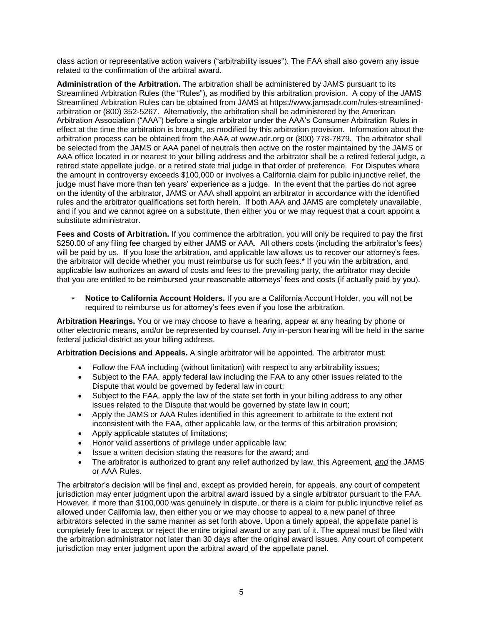class action or representative action waivers ("arbitrability issues"). The FAA shall also govern any issue related to the confirmation of the arbitral award.

**Administration of the Arbitration.** The arbitration shall be administered by JAMS pursuant to its Streamlined Arbitration Rules (the "Rules"), as modified by this arbitration provision. A copy of the JAMS Streamlined Arbitration Rules can be obtained from JAMS at https://www.jamsadr.com/rules-streamlinedarbitration or (800) 352-5267. Alternatively, the arbitration shall be administered by the American Arbitration Association ("AAA") before a single arbitrator under the AAA's Consumer Arbitration Rules in effect at the time the arbitration is brought, as modified by this arbitration provision. Information about the arbitration process can be obtained from the AAA at www.adr.org or (800) 778-7879. The arbitrator shall be selected from the JAMS or AAA panel of neutrals then active on the roster maintained by the JAMS or AAA office located in or nearest to your billing address and the arbitrator shall be a retired federal judge, a retired state appellate judge, or a retired state trial judge in that order of preference. For Disputes where the amount in controversy exceeds \$100,000 or involves a California claim for public injunctive relief, the judge must have more than ten years' experience as a judge. In the event that the parties do not agree on the identity of the arbitrator, JAMS or AAA shall appoint an arbitrator in accordance with the identified rules and the arbitrator qualifications set forth herein. If both AAA and JAMS are completely unavailable, and if you and we cannot agree on a substitute, then either you or we may request that a court appoint a substitute administrator.

**Fees and Costs of Arbitration.** If you commence the arbitration, you will only be required to pay the first \$250.00 of any filing fee charged by either JAMS or AAA. All others costs (including the arbitrator's fees) will be paid by us. If you lose the arbitration, and applicable law allows us to recover our attorney's fees, the arbitrator will decide whether you must reimburse us for such fees.\* If you win the arbitration, and applicable law authorizes an award of costs and fees to the prevailing party, the arbitrator may decide that you are entitled to be reimbursed your reasonable attorneys' fees and costs (if actually paid by you).

 **Notice to California Account Holders.** If you are a California Account Holder, you will not be required to reimburse us for attorney's fees even if you lose the arbitration.

**Arbitration Hearings.** You or we may choose to have a hearing, appear at any hearing by phone or other electronic means, and/or be represented by counsel. Any in-person hearing will be held in the same federal judicial district as your billing address.

**Arbitration Decisions and Appeals.** A single arbitrator will be appointed. The arbitrator must:

- Follow the FAA including (without limitation) with respect to any arbitrability issues;
- Subject to the FAA, apply federal law including the FAA to any other issues related to the Dispute that would be governed by federal law in court;
- Subject to the FAA, apply the law of the state set forth in your billing address to any other issues related to the Dispute that would be governed by state law in court;
- Apply the JAMS or AAA Rules identified in this agreement to arbitrate to the extent not inconsistent with the FAA, other applicable law, or the terms of this arbitration provision;
- Apply applicable statutes of limitations;
- Honor valid assertions of privilege under applicable law;
- Issue a written decision stating the reasons for the award; and
- The arbitrator is authorized to grant any relief authorized by law, this Agreement, *and* the JAMS or AAA Rules.

The arbitrator's decision will be final and, except as provided herein, for appeals, any court of competent jurisdiction may enter judgment upon the arbitral award issued by a single arbitrator pursuant to the FAA. However, if more than \$100,000 was genuinely in dispute, or there is a claim for public injunctive relief as allowed under California law, then either you or we may choose to appeal to a new panel of three arbitrators selected in the same manner as set forth above. Upon a timely appeal, the appellate panel is completely free to accept or reject the entire original award or any part of it. The appeal must be filed with the arbitration administrator not later than 30 days after the original award issues. Any court of competent jurisdiction may enter judgment upon the arbitral award of the appellate panel.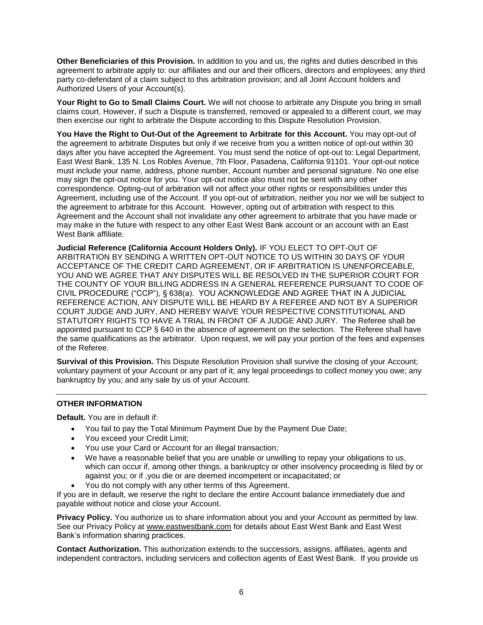**Other Beneficiaries of this Provision.** In addition to you and us, the rights and duties described in this agreement to arbitrate apply to: our affiliates and our and their officers, directors and employees; any third party co-defendant of a claim subject to this arbitration provision; and all Joint Account holders and Authorized Users of your Account(s).

**Your Right to Go to Small Claims Court.** We will not choose to arbitrate any Dispute you bring in small claims court. However, if such a Dispute is transferred, removed or appealed to a different court, we may then exercise our right to arbitrate the Dispute according to this Dispute Resolution Provision.

**You Have the Right to Out-Out of the Agreement to Arbitrate for this Account.** You may opt-out of the agreement to arbitrate Disputes but only if we receive from you a written notice of opt-out within 30 days after you have accepted the Agreement. You must send the notice of opt-out to: Legal Department, East West Bank, 135 N. Los Robles Avenue, 7th Floor, Pasadena, California 91101. Your opt-out notice must include your name, address, phone number, Account number and personal signature. No one else may sign the opt-out notice for you. Your opt-out notice also must not be sent with any other correspondence. Opting-out of arbitration will not affect your other rights or responsibilities under this Agreement, including use of the Account. If you opt-out of arbitration, neither you nor we will be subject to the agreement to arbitrate for this Account. However, opting out of arbitration with respect to this Agreement and the Account shall not invalidate any other agreement to arbitrate that you have made or may make in the future with respect to any other East West Bank account or an account with an East West Bank affiliate.

**Judicial Reference (California Account Holders Only).** IF YOU ELECT TO OPT-OUT OF ARBITRATION BY SENDING A WRITTEN OPT-OUT NOTICE TO US WITHIN 30 DAYS OF YOUR ACCEPTANCE OF THE CREDIT CARD AGREEMENT, OR IF ARBITRATION IS UNENFORCEABLE, YOU AND WE AGREE THAT ANY DISPUTES WILL BE RESOLVED IN THE SUPERIOR COURT FOR THE COUNTY OF YOUR BILLING ADDRESS IN A GENERAL REFERENCE PURSUANT TO CODE OF CIVIL PROCEDURE ("CCP"), § 638(a). YOU ACKNOWLEDGE AND AGREE THAT IN A JUDICIAL REFERENCE ACTION, ANY DISPUTE WILL BE HEARD BY A REFEREE AND NOT BY A SUPERIOR COURT JUDGE AND JURY, AND HEREBY WAIVE YOUR RESPECTIVE CONSTITUTIONAL AND STATUTORY RIGHTS TO HAVE A TRIAL IN FRONT OF A JUDGE AND JURY. The Referee shall be appointed pursuant to CCP § 640 in the absence of agreement on the selection. The Referee shall have the same qualifications as the arbitrator. Upon request, we will pay your portion of the fees and expenses of the Referee.

**Survival of this Provision.** This Dispute Resolution Provision shall survive the closing of your Account; voluntary payment of your Account or any part of it; any legal proceedings to collect money you owe; any bankruptcy by you; and any sale by us of your Account.

# **OTHER INFORMATION**

**Default.** You are in default if:

- You fail to pay the Total Minimum Payment Due by the Payment Due Date;
- You exceed your Credit Limit;
- You use your Card or Account for an illegal transaction;
- We have a reasonable belief that you are unable or unwilling to repay your obligations to us, which can occur if, among other things, a bankruptcy or other insolvency proceeding is filed by or against you; or if ,you die or are deemed incompetent or incapacitated; or
- You do not comply with any other terms of this Agreement.

If you are in default, we reserve the right to declare the entire Account balance immediately due and payable without notice and close your Account.

**Privacy Policy.** You authorize us to share information about you and your Account as permitted by law. See our Privacy Policy at www.eastwestbank.com for details about East West Bank and East West Bank's information sharing practices.

**Contact Authorization.** This authorization extends to the successors, assigns, affiliates, agents and independent contractors, including servicers and collection agents of East West Bank. If you provide us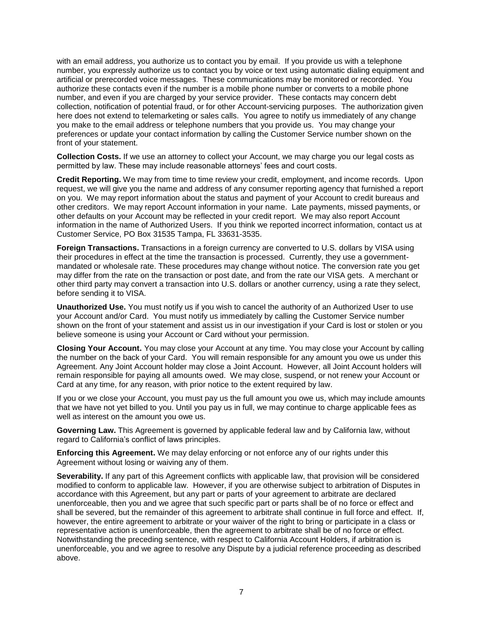with an email address, you authorize us to contact you by email. If you provide us with a telephone number, you expressly authorize us to contact you by voice or text using automatic dialing equipment and artificial or prerecorded voice messages. These communications may be monitored or recorded. You authorize these contacts even if the number is a mobile phone number or converts to a mobile phone number, and even if you are charged by your service provider. These contacts may concern debt collection, notification of potential fraud, or for other Account-servicing purposes. The authorization given here does not extend to telemarketing or sales calls. You agree to notify us immediately of any change you make to the email address or telephone numbers that you provide us. You may change your preferences or update your contact information by calling the Customer Service number shown on the front of your statement.

**Collection Costs.** If we use an attorney to collect your Account, we may charge you our legal costs as permitted by law. These may include reasonable attorneys' fees and court costs.

**Credit Reporting.** We may from time to time review your credit, employment, and income records. Upon request, we will give you the name and address of any consumer reporting agency that furnished a report on you. We may report information about the status and payment of your Account to credit bureaus and other creditors. We may report Account information in your name. Late payments, missed payments, or other defaults on your Account may be reflected in your credit report. We may also report Account information in the name of Authorized Users. If you think we reported incorrect information, contact us at Customer Service, PO Box 31535 Tampa, FL 33631-3535.

**Foreign Transactions.** Transactions in a foreign currency are converted to U.S. dollars by VISA using their procedures in effect at the time the transaction is processed. Currently, they use a governmentmandated or wholesale rate. These procedures may change without notice. The conversion rate you get may differ from the rate on the transaction or post date, and from the rate our VISA gets. A merchant or other third party may convert a transaction into U.S. dollars or another currency, using a rate they select, before sending it to VISA.

**Unauthorized Use.** You must notify us if you wish to cancel the authority of an Authorized User to use your Account and/or Card. You must notify us immediately by calling the Customer Service number shown on the front of your statement and assist us in our investigation if your Card is lost or stolen or you believe someone is using your Account or Card without your permission.

**Closing Your Account.** You may close your Account at any time. You may close your Account by calling the number on the back of your Card. You will remain responsible for any amount you owe us under this Agreement. Any Joint Account holder may close a Joint Account. However, all Joint Account holders will remain responsible for paying all amounts owed. We may close, suspend, or not renew your Account or Card at any time, for any reason, with prior notice to the extent required by law.

If you or we close your Account, you must pay us the full amount you owe us, which may include amounts that we have not yet billed to you. Until you pay us in full, we may continue to charge applicable fees as well as interest on the amount you owe us.

**Governing Law.** This Agreement is governed by applicable federal law and by California law, without regard to California's conflict of laws principles.

**Enforcing this Agreement.** We may delay enforcing or not enforce any of our rights under this Agreement without losing or waiving any of them.

**Severability.** If any part of this Agreement conflicts with applicable law, that provision will be considered modified to conform to applicable law. However, if you are otherwise subject to arbitration of Disputes in accordance with this Agreement, but any part or parts of your agreement to arbitrate are declared unenforceable, then you and we agree that such specific part or parts shall be of no force or effect and shall be severed, but the remainder of this agreement to arbitrate shall continue in full force and effect. If, however, the entire agreement to arbitrate or your waiver of the right to bring or participate in a class or representative action is unenforceable, then the agreement to arbitrate shall be of no force or effect. Notwithstanding the preceding sentence, with respect to California Account Holders, if arbitration is unenforceable, you and we agree to resolve any Dispute by a judicial reference proceeding as described above.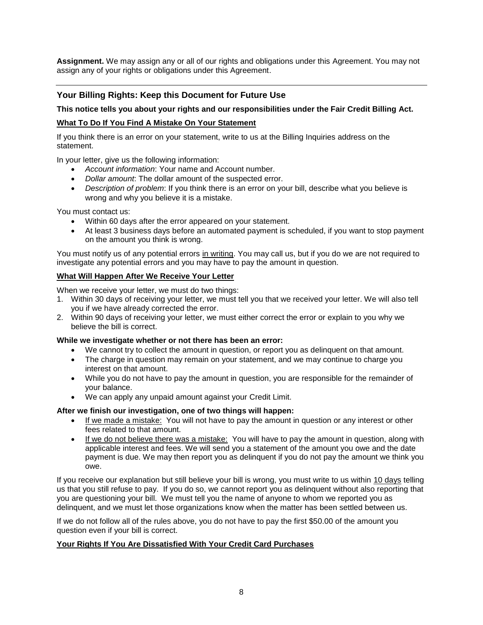**Assignment.** We may assign any or all of our rights and obligations under this Agreement. You may not assign any of your rights or obligations under this Agreement.

# **Your Billing Rights: Keep this Document for Future Use**

## **This notice tells you about your rights and our responsibilities under the Fair Credit Billing Act.**

## **What To Do If You Find A Mistake On Your Statement**

If you think there is an error on your statement, write to us at the Billing Inquiries address on the statement.

In your letter, give us the following information:

- *Account information*: Your name and Account number.
- *Dollar amount*: The dollar amount of the suspected error.
- *Description of problem*: If you think there is an error on your bill, describe what you believe is wrong and why you believe it is a mistake.

You must contact us:

- Within 60 days after the error appeared on your statement.
- At least 3 business days before an automated payment is scheduled, if you want to stop payment on the amount you think is wrong.

You must notify us of any potential errors in writing. You may call us, but if you do we are not required to investigate any potential errors and you may have to pay the amount in question.

#### **What Will Happen After We Receive Your Letter**

When we receive your letter, we must do two things:

- 1. Within 30 days of receiving your letter, we must tell you that we received your letter. We will also tell you if we have already corrected the error.
- 2. Within 90 days of receiving your letter, we must either correct the error or explain to you why we believe the bill is correct.

#### **While we investigate whether or not there has been an error:**

- We cannot try to collect the amount in question, or report you as delinquent on that amount.
- The charge in question may remain on your statement, and we may continue to charge you interest on that amount.
- While you do not have to pay the amount in question, you are responsible for the remainder of your balance.
- We can apply any unpaid amount against your Credit Limit.

#### **After we finish our investigation, one of two things will happen:**

- If we made a mistake: You will not have to pay the amount in question or any interest or other fees related to that amount.
- If we do not believe there was a mistake: You will have to pay the amount in question, along with applicable interest and fees. We will send you a statement of the amount you owe and the date payment is due. We may then report you as delinquent if you do not pay the amount we think you owe.

If you receive our explanation but still believe your bill is wrong, you must write to us within 10 days telling us that you still refuse to pay. If you do so, we cannot report you as delinquent without also reporting that you are questioning your bill. We must tell you the name of anyone to whom we reported you as delinquent, and we must let those organizations know when the matter has been settled between us.

If we do not follow all of the rules above, you do not have to pay the first \$50.00 of the amount you question even if your bill is correct.

#### **Your Rights If You Are Dissatisfied With Your Credit Card Purchases**